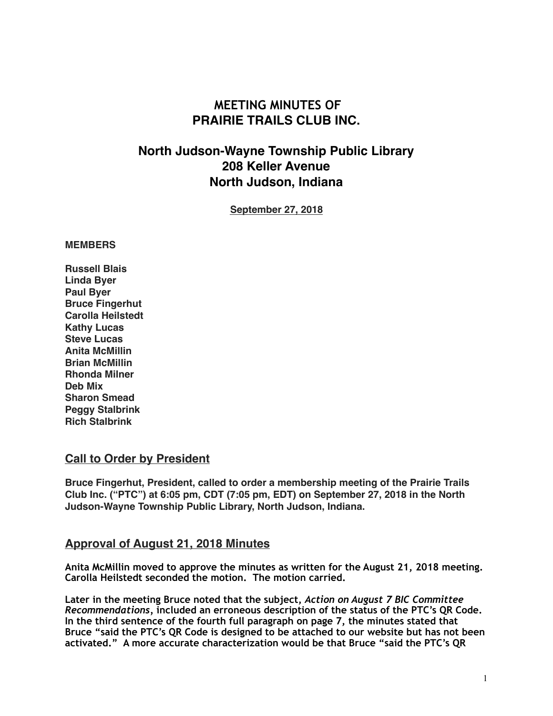# **MEETING MINUTES OF PRAIRIE TRAILS CLUB INC.**

# **North Judson-Wayne Township Public Library 208 Keller Avenue North Judson, Indiana**

**September 27, 2018**

#### **MEMBERS**

**Russell Blais Linda Byer Paul Byer Bruce Fingerhut Carolla Heilstedt Kathy Lucas Steve Lucas Anita McMillin Brian McMillin Rhonda Milner Deb Mix Sharon Smead Peggy Stalbrink Rich Stalbrink**

#### **Call to Order by President**

**Bruce Fingerhut, President, called to order a membership meeting of the Prairie Trails Club Inc. ("PTC") at 6:05 pm, CDT (7:05 pm, EDT) on September 27, 2018 in the North Judson-Wayne Township Public Library, North Judson, Indiana.**

#### **Approval of August 21, 2018 Minutes**

**Anita McMillin moved to approve the minutes as written for the August 21, 2018 meeting. Carolla Heilstedt seconded the motion. The motion carried.** 

**Later in the meeting Bruce noted that the subject,** *Action on August 7 BIC Committee Recommendations,* **included an erroneous description of the status of the PTC's QR Code. In the third sentence of the fourth full paragraph on page 7, the minutes stated that Bruce "said the PTC's QR Code is designed to be attached to our website but has not been activated." A more accurate characterization would be that Bruce "said the PTC's QR**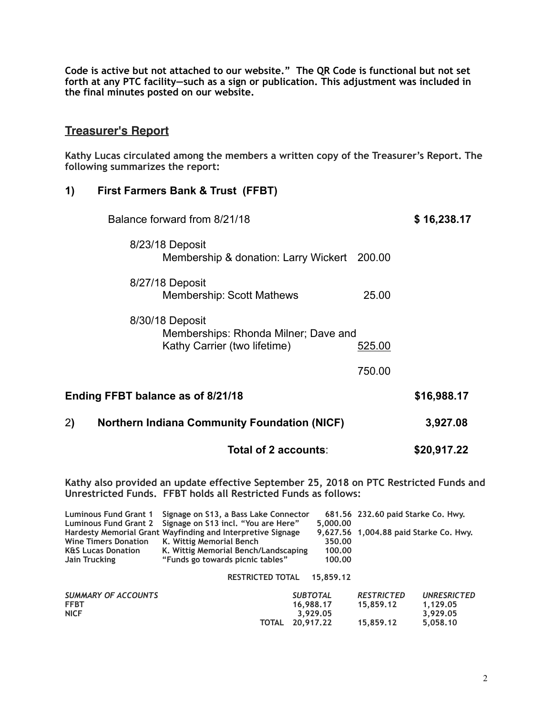**Code is active but not attached to our website." The QR Code is functional but not set forth at any PTC facility—such as a sign or publication. This adjustment was included in the final minutes posted on our website.** 

# **Treasurer's Report**

**Kathy Lucas circulated among the members a written copy of the Treasurer's Report. The following summarizes the report:**

#### **1) First Farmers Bank & Trust (FFBT)**

| Balance forward from 8/21/18                                                            |        | \$16,238.17 |
|-----------------------------------------------------------------------------------------|--------|-------------|
| 8/23/18 Deposit<br>Membership & donation: Larry Wickert 200.00                          |        |             |
| 8/27/18 Deposit<br><b>Membership: Scott Mathews</b>                                     | 25.00  |             |
| 8/30/18 Deposit<br>Memberships: Rhonda Milner; Dave and<br>Kathy Carrier (two lifetime) | 525.00 |             |
|                                                                                         | 750.00 |             |
| Ending FFBT balance as of 8/21/18                                                       |        | \$16,988.17 |
| 2)<br><b>Northern Indiana Community Foundation (NICF)</b>                               |        | 3,927.08    |
| Total of 2 accounts:                                                                    |        | \$20,917.22 |
|                                                                                         |        |             |

**Kathy also provided an update effective September 25, 2018 on PTC Restricted Funds and Unrestricted Funds. FFBT holds all Restricted Funds as follows:** 

| <b>Luminous Fund Grant 1</b>  | Signage on S13, a Bass Lake Connector                       |                 | 681.56 232.60 paid Starke Co. Hwy.     |                    |
|-------------------------------|-------------------------------------------------------------|-----------------|----------------------------------------|--------------------|
| <b>Luminous Fund Grant 2</b>  | Signage on S13 incl. "You are Here"                         | 5,000.00        |                                        |                    |
|                               | Hardesty Memorial Grant Wayfinding and Interpretive Signage |                 | 9,627.56 1,004.88 paid Starke Co. Hwy. |                    |
| <b>Wine Timers Donation</b>   | K. Wittig Memorial Bench                                    | 350.00          |                                        |                    |
| <b>K&amp;S Lucas Donation</b> | K. Wittig Memorial Bench/Landscaping                        | 100.00          |                                        |                    |
| Jain Trucking                 | "Funds go towards picnic tables"                            | 100.00          |                                        |                    |
|                               | <b>RESTRICTED TOTAL</b>                                     | 15,859.12       |                                        |                    |
| <b>SUMMARY OF ACCOUNTS</b>    |                                                             | <b>SUBTOTAL</b> | <b>RESTRICTED</b>                      | <b>UNRESRICTED</b> |
| <b>FFBT</b>                   |                                                             | 16,988.17       | 15,859.12                              | 1,129.05           |
| <b>NICF</b>                   |                                                             | 3.929.05        |                                        | 3,929.05           |
|                               | <b>TOTAL</b>                                                | 20.917.22       | 15.859.12                              | 5.058.10           |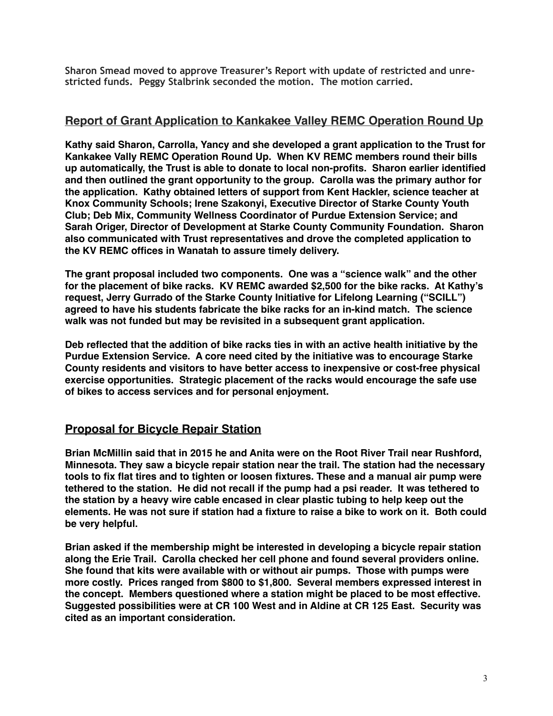**Sharon Smead moved to approve Treasurer's Report with update of restricted and unrestricted funds. Peggy Stalbrink seconded the motion. The motion carried.** 

#### **Report of Grant Application to Kankakee Valley REMC Operation Round Up**

**Kathy said Sharon, Carrolla, Yancy and she developed a grant application to the Trust for Kankakee Vally REMC Operation Round Up. When KV REMC members round their bills up automatically, the Trust is able to donate to local non-profits. Sharon earlier identified and then outlined the grant opportunity to the group. Carolla was the primary author for the application. Kathy obtained letters of support from Kent Hackler, science teacher at Knox Community Schools; Irene Szakonyi, Executive Director of Starke County Youth Club; Deb Mix, Community Wellness Coordinator of Purdue Extension Service; and Sarah Origer, Director of Development at Starke County Community Foundation. Sharon also communicated with Trust representatives and drove the completed application to the KV REMC offices in Wanatah to assure timely delivery.**

**The grant proposal included two components. One was a "science walk" and the other for the placement of bike racks. KV REMC awarded \$2,500 for the bike racks. At Kathy's request, Jerry Gurrado of the Starke County Initiative for Lifelong Learning ("SCILL") agreed to have his students fabricate the bike racks for an in-kind match. The science walk was not funded but may be revisited in a subsequent grant application.**

**Deb reflected that the addition of bike racks ties in with an active health initiative by the Purdue Extension Service. A core need cited by the initiative was to encourage Starke County residents and visitors to have better access to inexpensive or cost-free physical exercise opportunities. Strategic placement of the racks would encourage the safe use of bikes to access services and for personal enjoyment.**

# **Proposal for Bicycle Repair Station**

**Brian McMillin said that in 2015 he and Anita were on the Root River Trail near Rushford, Minnesota. They saw a bicycle repair station near the trail. The station had the necessary tools to fix flat tires and to tighten or loosen fixtures. These and a manual air pump were tethered to the station. He did not recall if the pump had a psi reader. It was tethered to the station by a heavy wire cable encased in clear plastic tubing to help keep out the elements. He was not sure if station had a fixture to raise a bike to work on it. Both could be very helpful.**

**Brian asked if the membership might be interested in developing a bicycle repair station along the Erie Trail. Carolla checked her cell phone and found several providers online. She found that kits were available with or without air pumps. Those with pumps were more costly. Prices ranged from \$800 to \$1,800. Several members expressed interest in the concept. Members questioned where a station might be placed to be most effective. Suggested possibilities were at CR 100 West and in Aldine at CR 125 East. Security was cited as an important consideration.**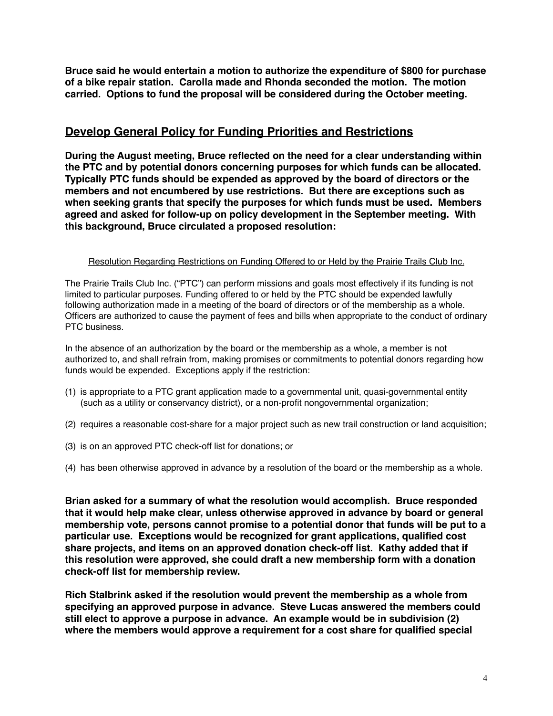**Bruce said he would entertain a motion to authorize the expenditure of \$800 for purchase of a bike repair station. Carolla made and Rhonda seconded the motion. The motion carried. Options to fund the proposal will be considered during the October meeting.**

### **Develop General Policy for Funding Priorities and Restrictions**

**During the August meeting, Bruce reflected on the need for a clear understanding within the PTC and by potential donors concerning purposes for which funds can be allocated. Typically PTC funds should be expended as approved by the board of directors or the members and not encumbered by use restrictions. But there are exceptions such as when seeking grants that specify the purposes for which funds must be used. Members agreed and asked for follow-up on policy development in the September meeting. With this background, Bruce circulated a proposed resolution:**

#### Resolution Regarding Restrictions on Funding Offered to or Held by the Prairie Trails Club Inc.

The Prairie Trails Club Inc. ("PTC") can perform missions and goals most effectively if its funding is not limited to particular purposes. Funding offered to or held by the PTC should be expended lawfully following authorization made in a meeting of the board of directors or of the membership as a whole. Officers are authorized to cause the payment of fees and bills when appropriate to the conduct of ordinary PTC business.

In the absence of an authorization by the board or the membership as a whole, a member is not authorized to, and shall refrain from, making promises or commitments to potential donors regarding how funds would be expended. Exceptions apply if the restriction:

- (1) is appropriate to a PTC grant application made to a governmental unit, quasi-governmental entity (such as a utility or conservancy district), or a non-profit nongovernmental organization;
- (2) requires a reasonable cost-share for a major project such as new trail construction or land acquisition;
- (3) is on an approved PTC check-off list for donations; or
- (4) has been otherwise approved in advance by a resolution of the board or the membership as a whole.

**Brian asked for a summary of what the resolution would accomplish. Bruce responded that it would help make clear, unless otherwise approved in advance by board or general membership vote, persons cannot promise to a potential donor that funds will be put to a particular use. Exceptions would be recognized for grant applications, qualified cost share projects, and items on an approved donation check-off list. Kathy added that if this resolution were approved, she could draft a new membership form with a donation check-off list for membership review.**

**Rich Stalbrink asked if the resolution would prevent the membership as a whole from specifying an approved purpose in advance. Steve Lucas answered the members could still elect to approve a purpose in advance. An example would be in subdivision (2) where the members would approve a requirement for a cost share for qualified special**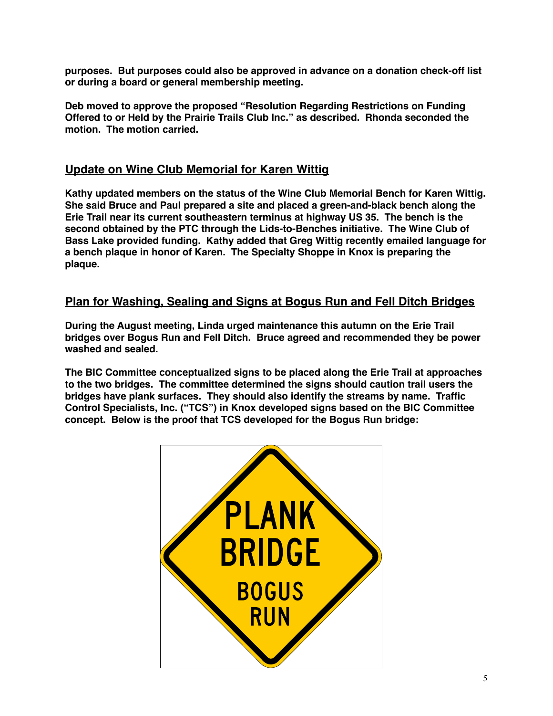**purposes. But purposes could also be approved in advance on a donation check-off list or during a board or general membership meeting.**

**Deb moved to approve the proposed "Resolution Regarding Restrictions on Funding Offered to or Held by the Prairie Trails Club Inc." as described. Rhonda seconded the motion. The motion carried.**

## **Update on Wine Club Memorial for Karen Wittig**

**Kathy updated members on the status of the Wine Club Memorial Bench for Karen Wittig. She said Bruce and Paul prepared a site and placed a green-and-black bench along the Erie Trail near its current southeastern terminus at highway US 35. The bench is the second obtained by the PTC through the Lids-to-Benches initiative. The Wine Club of Bass Lake provided funding. Kathy added that Greg Wittig recently emailed language for a bench plaque in honor of Karen. The Specialty Shoppe in Knox is preparing the plaque.**

### **Plan for Washing, Sealing and Signs at Bogus Run and Fell Ditch Bridges**

**During the August meeting, Linda urged maintenance this autumn on the Erie Trail bridges over Bogus Run and Fell Ditch. Bruce agreed and recommended they be power washed and sealed.**

**The BIC Committee conceptualized signs to be placed along the Erie Trail at approaches to the two bridges. The committee determined the signs should caution trail users the bridges have plank surfaces. They should also identify the streams by name. Traffic Control Specialists, Inc. ("TCS") in Knox developed signs based on the BIC Committee concept. Below is the proof that TCS developed for the Bogus Run bridge:**

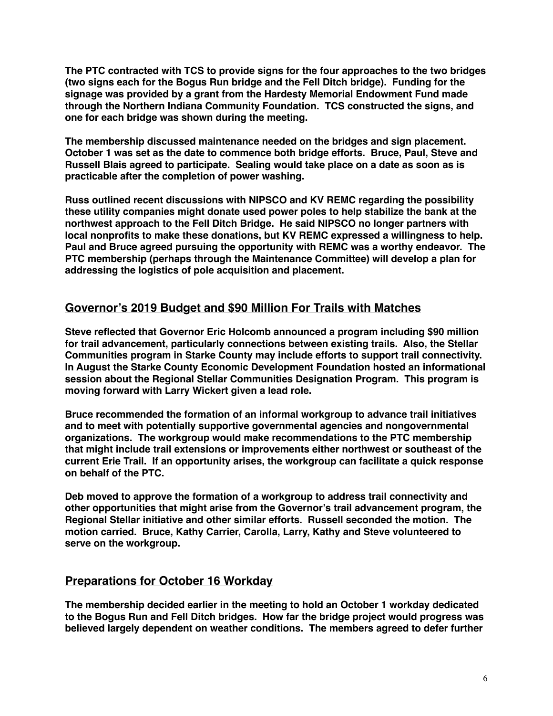**The PTC contracted with TCS to provide signs for the four approaches to the two bridges (two signs each for the Bogus Run bridge and the Fell Ditch bridge). Funding for the signage was provided by a grant from the Hardesty Memorial Endowment Fund made through the Northern Indiana Community Foundation. TCS constructed the signs, and one for each bridge was shown during the meeting.**

**The membership discussed maintenance needed on the bridges and sign placement. October 1 was set as the date to commence both bridge efforts. Bruce, Paul, Steve and Russell Blais agreed to participate. Sealing would take place on a date as soon as is practicable after the completion of power washing.** 

**Russ outlined recent discussions with NIPSCO and KV REMC regarding the possibility these utility companies might donate used power poles to help stabilize the bank at the northwest approach to the Fell Ditch Bridge. He said NIPSCO no longer partners with local nonprofits to make these donations, but KV REMC expressed a willingness to help. Paul and Bruce agreed pursuing the opportunity with REMC was a worthy endeavor. The PTC membership (perhaps through the Maintenance Committee) will develop a plan for addressing the logistics of pole acquisition and placement.**

# **Governor's 2019 Budget and \$90 Million For Trails with Matches**

**Steve reflected that Governor Eric Holcomb announced a program including \$90 million for trail advancement, particularly connections between existing trails. Also, the Stellar Communities program in Starke County may include efforts to support trail connectivity. In August the Starke County Economic Development Foundation hosted an informational session about the Regional Stellar Communities Designation Program. This program is moving forward with Larry Wickert given a lead role.**

**Bruce recommended the formation of an informal workgroup to advance trail initiatives and to meet with potentially supportive governmental agencies and nongovernmental organizations. The workgroup would make recommendations to the PTC membership that might include trail extensions or improvements either northwest or southeast of the current Erie Trail. If an opportunity arises, the workgroup can facilitate a quick response on behalf of the PTC.**

**Deb moved to approve the formation of a workgroup to address trail connectivity and other opportunities that might arise from the Governor's trail advancement program, the Regional Stellar initiative and other similar efforts. Russell seconded the motion. The motion carried. Bruce, Kathy Carrier, Carolla, Larry, Kathy and Steve volunteered to serve on the workgroup.**

#### **Preparations for October 16 Workday**

**The membership decided earlier in the meeting to hold an October 1 workday dedicated to the Bogus Run and Fell Ditch bridges. How far the bridge project would progress was believed largely dependent on weather conditions. The members agreed to defer further**